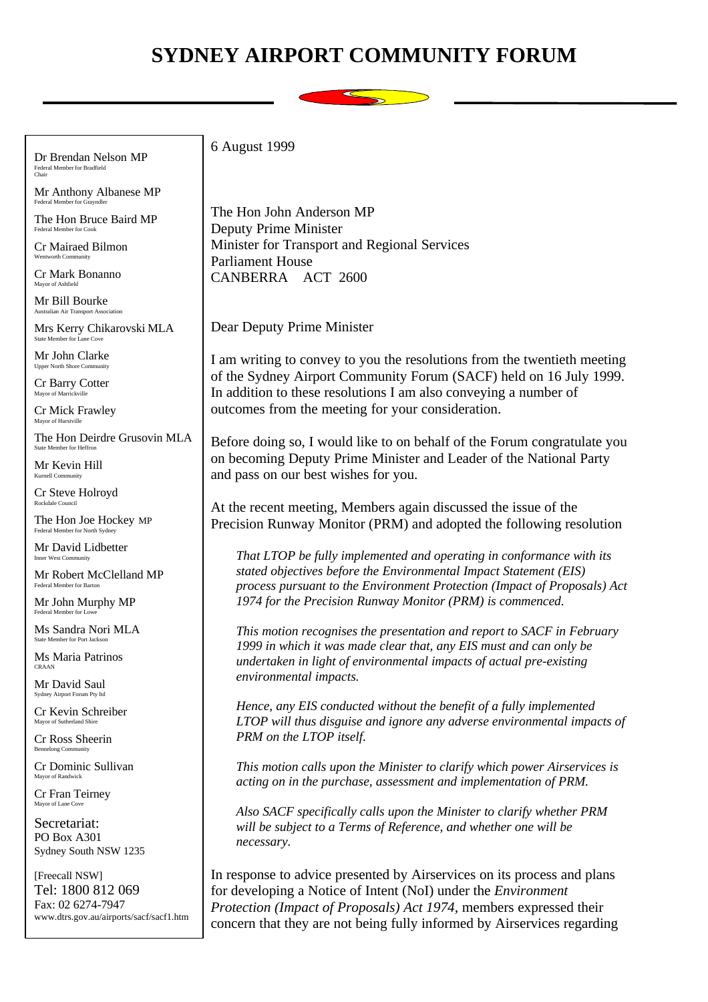## **SYDNEY AIRPORT COMMUNITY FORUM**



Dr Brendan Nelson MP Federal Member for Bradfield Chair

Mr Anthony Albanese MP Federal Member for Grayndler

The Hon Bruce Baird MP Federal Member for Cook

Cr Mairaed Bilmon Wentworth Community

Cr Mark Bonanno Mayor of Ashfield

Mr Bill Bourke Australian Air Transport Association

Mrs Kerry Chikarovski MLA State Member for Lane Cove

Mr John Clarke Upper North Shore Community

Cr Barry Cotter Mayor of Marr

Cr Mick Frawley Mayor of Hurstville

The Hon Deirdre Grusovin MLA State Member for Heffron

Mr Kevin Hill Kurnell Community

Cr Steve Holroyd Rockdale Council

The Hon Joe Hockey MP Federal Member for North Sydney

Mr David Lidbetter Inner West Community

Mr Robert McClelland MP Federal Member for Barton

Mr John Murphy MP Federal Member for Low

Ms Sandra Nori MLA State Member for Port Jackson

Ms Maria Patrinos CRAAN

Mr David Saul Sydney Airport Forum Pty lt

Cr Kevin Schreiber Mayor of Sutherland Shire

Cr Ross Sheerin Bennelong Community

Cr Dominic Sullivan Mayor of Randwick

Cr Fran Teirney Mayor of Lane Cove

Secretariat: PO Box A301 Sydney South NSW 1235

[Freecall NSW] Tel: 1800 812 069 Fax: 02 6274-7947 www.dtrs.gov.au/airports/sacf/sacf1.htm 6 August 1999

The Hon John Anderson MP Deputy Prime Minister Minister for Transport and Regional Services Parliament House CANBERRA ACT 2600

Dear Deputy Prime Minister

I am writing to convey to you the resolutions from the twentieth meeting of the Sydney Airport Community Forum (SACF) held on 16 July 1999. In addition to these resolutions I am also conveying a number of outcomes from the meeting for your consideration.

Before doing so, I would like to on behalf of the Forum congratulate you on becoming Deputy Prime Minister and Leader of the National Party and pass on our best wishes for you.

At the recent meeting, Members again discussed the issue of the Precision Runway Monitor (PRM) and adopted the following resolution

*That LTOP be fully implemented and operating in conformance with its stated objectives before the Environmental Impact Statement (EIS) process pursuant to the Environment Protection (Impact of Proposals) Act 1974 for the Precision Runway Monitor (PRM) is commenced.*

*This motion recognises the presentation and report to SACF in February 1999 in which it was made clear that, any EIS must and can only be undertaken in light of environmental impacts of actual pre-existing environmental impacts.*

*Hence, any EIS conducted without the benefit of a fully implemented LTOP will thus disguise and ignore any adverse environmental impacts of PRM on the LTOP itself.*

*This motion calls upon the Minister to clarify which power Airservices is acting on in the purchase, assessment and implementation of PRM.*

*Also SACF specifically calls upon the Minister to clarify whether PRM will be subject to a Terms of Reference, and whether one will be necessary.*

In response to advice presented by Airservices on its process and plans for developing a Notice of Intent (NoI) under the *Environment Protection (Impact of Proposals) Act 1974,* members expressed their concern that they are not being fully informed by Airservices regarding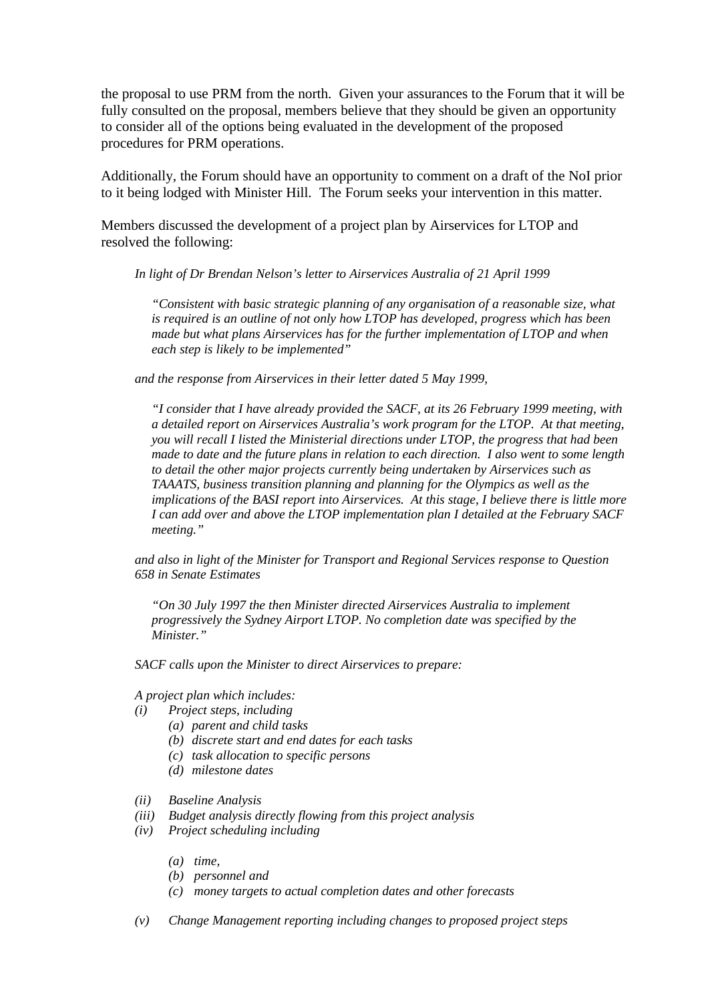the proposal to use PRM from the north. Given your assurances to the Forum that it will be fully consulted on the proposal, members believe that they should be given an opportunity to consider all of the options being evaluated in the development of the proposed procedures for PRM operations.

Additionally, the Forum should have an opportunity to comment on a draft of the NoI prior to it being lodged with Minister Hill. The Forum seeks your intervention in this matter.

Members discussed the development of a project plan by Airservices for LTOP and resolved the following:

*In light of Dr Brendan Nelson's letter to Airservices Australia of 21 April 1999*

*"Consistent with basic strategic planning of any organisation of a reasonable size, what is required is an outline of not only how LTOP has developed, progress which has been made but what plans Airservices has for the further implementation of LTOP and when each step is likely to be implemented"*

*and the response from Airservices in their letter dated 5 May 1999,*

*"I consider that I have already provided the SACF, at its 26 February 1999 meeting, with a detailed report on Airservices Australia's work program for the LTOP. At that meeting, you will recall I listed the Ministerial directions under LTOP, the progress that had been made to date and the future plans in relation to each direction. I also went to some length to detail the other major projects currently being undertaken by Airservices such as TAAATS, business transition planning and planning for the Olympics as well as the implications of the BASI report into Airservices. At this stage, I believe there is little more I can add over and above the LTOP implementation plan I detailed at the February SACF meeting."*

*and also in light of the Minister for Transport and Regional Services response to Question 658 in Senate Estimates*

*"On 30 July 1997 the then Minister directed Airservices Australia to implement progressively the Sydney Airport LTOP. No completion date was specified by the Minister."*

*SACF calls upon the Minister to direct Airservices to prepare:*

*A project plan which includes:*

- *(i) Project steps, including*
	- *(a) parent and child tasks*
	- *(b) discrete start and end dates for each tasks*
	- *(c) task allocation to specific persons*
	- *(d) milestone dates*
- *(ii) Baseline Analysis*
- *(iii) Budget analysis directly flowing from this project analysis*
- *(iv) Project scheduling including*
	- *(a) time,*
	- *(b) personnel and*
	- *(c) money targets to actual completion dates and other forecasts*
- *(v) Change Management reporting including changes to proposed project steps*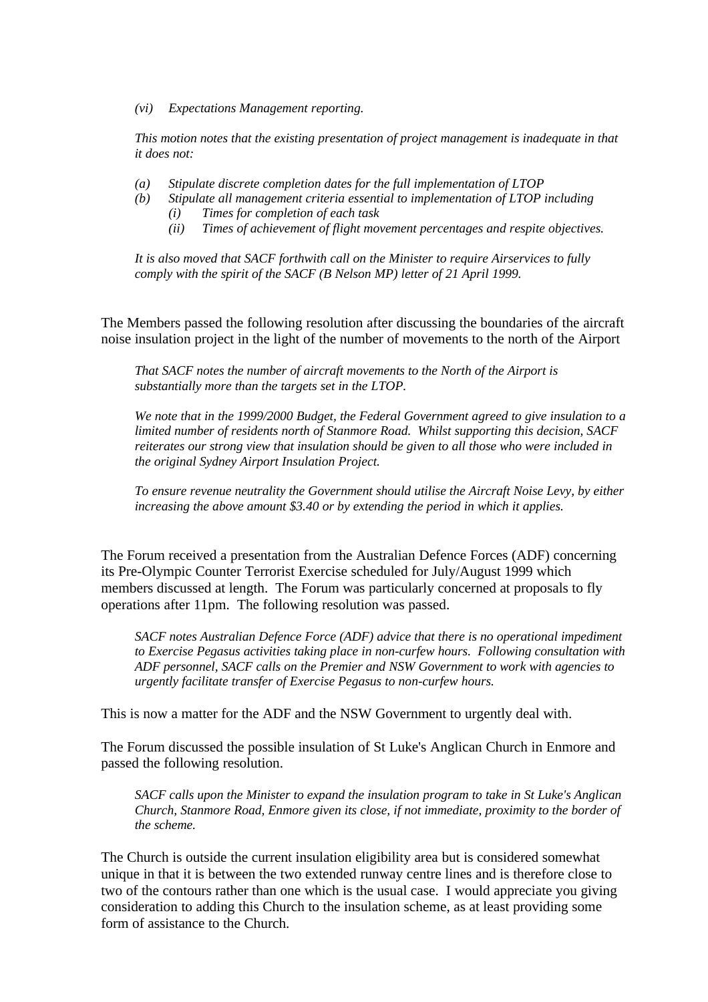*(vi) Expectations Management reporting.*

*This motion notes that the existing presentation of project management is inadequate in that it does not:*

- *(a) Stipulate discrete completion dates for the full implementation of LTOP*
- *(b) Stipulate all management criteria essential to implementation of LTOP including*
	- *(i) Times for completion of each task*
	- *(ii) Times of achievement of flight movement percentages and respite objectives.*

*It is also moved that SACF forthwith call on the Minister to require Airservices to fully comply with the spirit of the SACF (B Nelson MP) letter of 21 April 1999.*

The Members passed the following resolution after discussing the boundaries of the aircraft noise insulation project in the light of the number of movements to the north of the Airport

*That SACF notes the number of aircraft movements to the North of the Airport is substantially more than the targets set in the LTOP.*

*We note that in the 1999/2000 Budget, the Federal Government agreed to give insulation to a limited number of residents north of Stanmore Road. Whilst supporting this decision, SACF reiterates our strong view that insulation should be given to all those who were included in the original Sydney Airport Insulation Project.*

*To ensure revenue neutrality the Government should utilise the Aircraft Noise Levy, by either increasing the above amount \$3.40 or by extending the period in which it applies.*

The Forum received a presentation from the Australian Defence Forces (ADF) concerning its Pre-Olympic Counter Terrorist Exercise scheduled for July/August 1999 which members discussed at length. The Forum was particularly concerned at proposals to fly operations after 11pm. The following resolution was passed.

*SACF notes Australian Defence Force (ADF) advice that there is no operational impediment to Exercise Pegasus activities taking place in non-curfew hours. Following consultation with ADF personnel, SACF calls on the Premier and NSW Government to work with agencies to urgently facilitate transfer of Exercise Pegasus to non-curfew hours.*

This is now a matter for the ADF and the NSW Government to urgently deal with.

The Forum discussed the possible insulation of St Luke's Anglican Church in Enmore and passed the following resolution.

*SACF calls upon the Minister to expand the insulation program to take in St Luke's Anglican Church, Stanmore Road, Enmore given its close, if not immediate, proximity to the border of the scheme.*

The Church is outside the current insulation eligibility area but is considered somewhat unique in that it is between the two extended runway centre lines and is therefore close to two of the contours rather than one which is the usual case. I would appreciate you giving consideration to adding this Church to the insulation scheme, as at least providing some form of assistance to the Church.